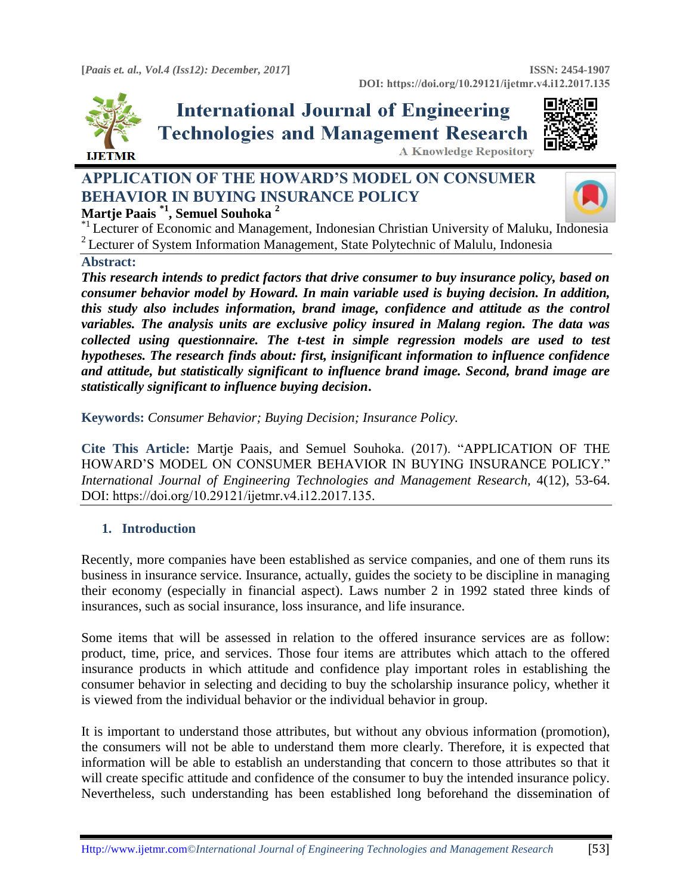

# **International Journal of Engineering Technologies and Management Research A Knowledge Repository**



# **APPLICATION OF THE HOWARD'S MODEL ON CONSUMER BEHAVIOR IN BUYING INSURANCE POLICY Martje Paais \*1 , Semuel Souhoka <sup>2</sup>**



\*1 Lecturer of Economic and Management, Indonesian Christian University of Maluku, I[ndonesia](https://crossmark.crossref.org/dialog/?doi=10.29121/ijetmr.v4.i12.2017.135&domain=pdf&date_stamp=2017-12-31)  <sup>2</sup> Lecturer of System Information Management, State Polytechnic of Malulu, Indonesia

## **Abstract:**

*This research intends to predict factors that drive consumer to buy insurance policy, based on consumer behavior model by Howard. In main variable used is buying decision. In addition, this study also includes information, brand image, confidence and attitude as the control variables. The analysis units are exclusive policy insured in Malang region. The data was collected using questionnaire. The t-test in simple regression models are used to test hypotheses. The research finds about: first, insignificant information to influence confidence and attitude, but statistically significant to influence brand image. Second, brand image are statistically significant to influence buying decision***.**

**Keywords:** *Consumer Behavior; Buying Decision; Insurance Policy.* 

**Cite This Article:** Martje Paais, and Semuel Souhoka. (2017). "APPLICATION OF THE HOWARD'S MODEL ON CONSUMER BEHAVIOR IN BUYING INSURANCE POLICY." *International Journal of Engineering Technologies and Management Research,* 4(12), 53-64. DOI: https://doi.org/10.29121/ijetmr.v4.i12.2017.135.

## **1. Introduction**

Recently, more companies have been established as service companies, and one of them runs its business in insurance service. Insurance, actually, guides the society to be discipline in managing their economy (especially in financial aspect). Laws number 2 in 1992 stated three kinds of insurances, such as social insurance, loss insurance, and life insurance.

Some items that will be assessed in relation to the offered insurance services are as follow: product, time, price, and services. Those four items are attributes which attach to the offered insurance products in which attitude and confidence play important roles in establishing the consumer behavior in selecting and deciding to buy the scholarship insurance policy, whether it is viewed from the individual behavior or the individual behavior in group.

It is important to understand those attributes, but without any obvious information (promotion), the consumers will not be able to understand them more clearly. Therefore, it is expected that information will be able to establish an understanding that concern to those attributes so that it will create specific attitude and confidence of the consumer to buy the intended insurance policy. Nevertheless, such understanding has been established long beforehand the dissemination of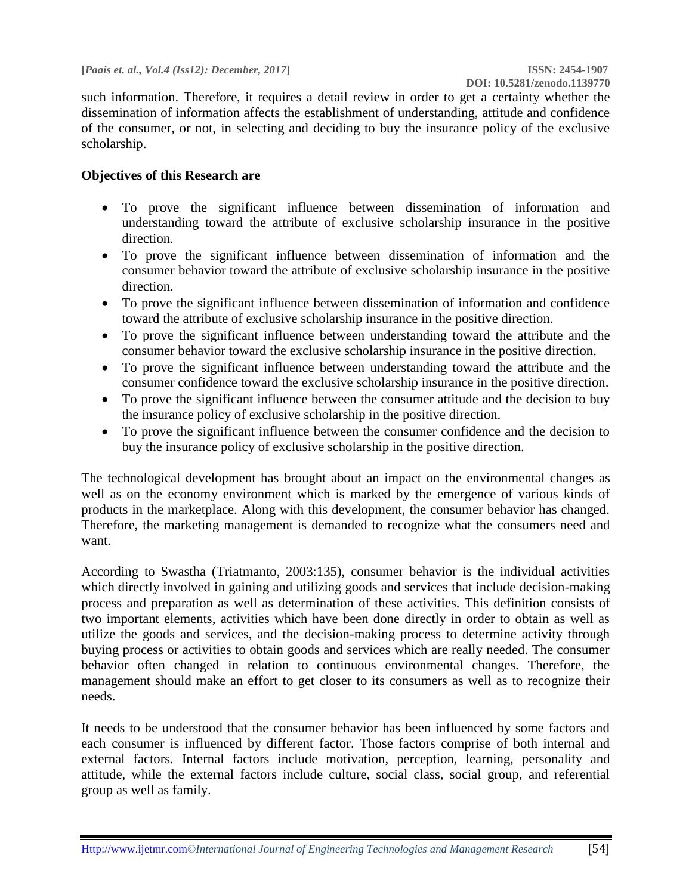such information. Therefore, it requires a detail review in order to get a certainty whether the dissemination of information affects the establishment of understanding, attitude and confidence of the consumer, or not, in selecting and deciding to buy the insurance policy of the exclusive scholarship.

#### **Objectives of this Research are**

- To prove the significant influence between dissemination of information and understanding toward the attribute of exclusive scholarship insurance in the positive direction.
- To prove the significant influence between dissemination of information and the consumer behavior toward the attribute of exclusive scholarship insurance in the positive direction.
- To prove the significant influence between dissemination of information and confidence toward the attribute of exclusive scholarship insurance in the positive direction.
- To prove the significant influence between understanding toward the attribute and the consumer behavior toward the exclusive scholarship insurance in the positive direction.
- To prove the significant influence between understanding toward the attribute and the consumer confidence toward the exclusive scholarship insurance in the positive direction.
- To prove the significant influence between the consumer attitude and the decision to buy the insurance policy of exclusive scholarship in the positive direction.
- To prove the significant influence between the consumer confidence and the decision to buy the insurance policy of exclusive scholarship in the positive direction.

The technological development has brought about an impact on the environmental changes as well as on the economy environment which is marked by the emergence of various kinds of products in the marketplace. Along with this development, the consumer behavior has changed. Therefore, the marketing management is demanded to recognize what the consumers need and want.

According to Swastha (Triatmanto, 2003:135), consumer behavior is the individual activities which directly involved in gaining and utilizing goods and services that include decision-making process and preparation as well as determination of these activities. This definition consists of two important elements, activities which have been done directly in order to obtain as well as utilize the goods and services, and the decision-making process to determine activity through buying process or activities to obtain goods and services which are really needed. The consumer behavior often changed in relation to continuous environmental changes. Therefore, the management should make an effort to get closer to its consumers as well as to recognize their needs.

It needs to be understood that the consumer behavior has been influenced by some factors and each consumer is influenced by different factor. Those factors comprise of both internal and external factors. Internal factors include motivation, perception, learning, personality and attitude, while the external factors include culture, social class, social group, and referential group as well as family.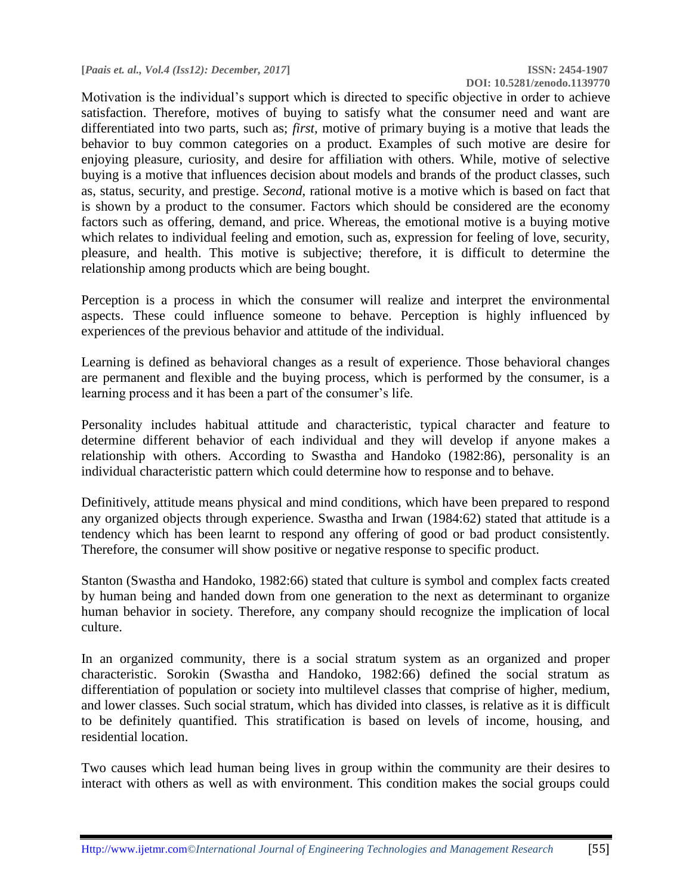**[***Paais et. al., Vol.4 (Iss12): December, 2017***] ISSN: 2454-1907**

Motivation is the individual's support which is directed to specific objective in order to achieve satisfaction. Therefore, motives of buying to satisfy what the consumer need and want are differentiated into two parts, such as; *first,* motive of primary buying is a motive that leads the behavior to buy common categories on a product. Examples of such motive are desire for enjoying pleasure, curiosity, and desire for affiliation with others. While, motive of selective buying is a motive that influences decision about models and brands of the product classes, such as, status, security, and prestige. *Second*, rational motive is a motive which is based on fact that is shown by a product to the consumer. Factors which should be considered are the economy factors such as offering, demand, and price. Whereas, the emotional motive is a buying motive which relates to individual feeling and emotion, such as, expression for feeling of love, security, pleasure, and health. This motive is subjective; therefore, it is difficult to determine the relationship among products which are being bought.

Perception is a process in which the consumer will realize and interpret the environmental aspects. These could influence someone to behave. Perception is highly influenced by experiences of the previous behavior and attitude of the individual.

Learning is defined as behavioral changes as a result of experience. Those behavioral changes are permanent and flexible and the buying process, which is performed by the consumer, is a learning process and it has been a part of the consumer's life.

Personality includes habitual attitude and characteristic, typical character and feature to determine different behavior of each individual and they will develop if anyone makes a relationship with others. According to Swastha and Handoko (1982:86), personality is an individual characteristic pattern which could determine how to response and to behave.

Definitively, attitude means physical and mind conditions, which have been prepared to respond any organized objects through experience. Swastha and Irwan (1984:62) stated that attitude is a tendency which has been learnt to respond any offering of good or bad product consistently. Therefore, the consumer will show positive or negative response to specific product.

Stanton (Swastha and Handoko, 1982:66) stated that culture is symbol and complex facts created by human being and handed down from one generation to the next as determinant to organize human behavior in society. Therefore, any company should recognize the implication of local culture.

In an organized community, there is a social stratum system as an organized and proper characteristic. Sorokin (Swastha and Handoko, 1982:66) defined the social stratum as differentiation of population or society into multilevel classes that comprise of higher, medium, and lower classes. Such social stratum, which has divided into classes, is relative as it is difficult to be definitely quantified. This stratification is based on levels of income, housing, and residential location.

Two causes which lead human being lives in group within the community are their desires to interact with others as well as with environment. This condition makes the social groups could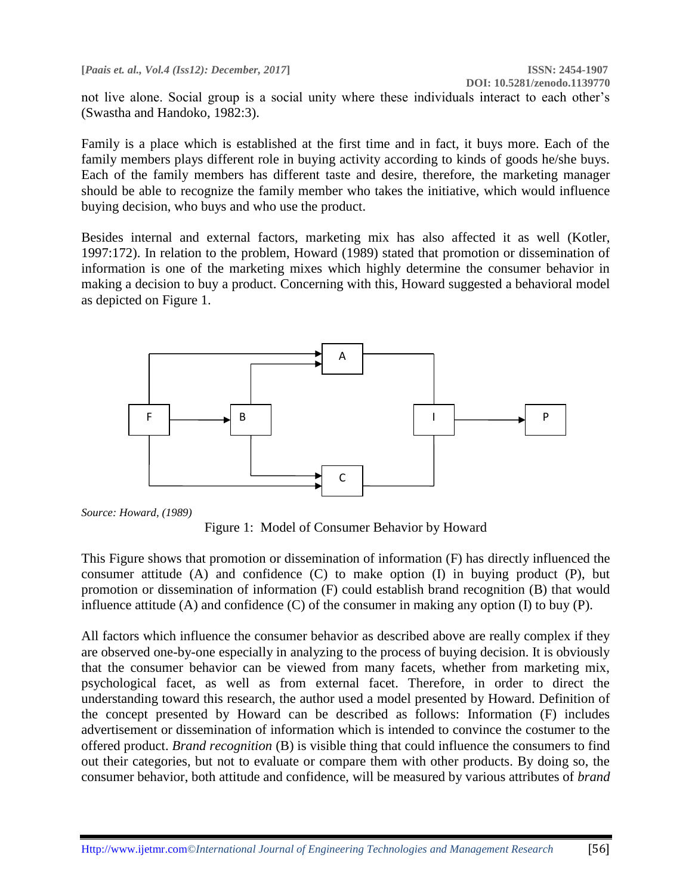not live alone. Social group is a social unity where these individuals interact to each other's (Swastha and Handoko, 1982:3).

Family is a place which is established at the first time and in fact, it buys more. Each of the family members plays different role in buying activity according to kinds of goods he/she buys. Each of the family members has different taste and desire, therefore, the marketing manager should be able to recognize the family member who takes the initiative, which would influence buying decision, who buys and who use the product.

Besides internal and external factors, marketing mix has also affected it as well (Kotler, 1997:172). In relation to the problem, Howard (1989) stated that promotion or dissemination of information is one of the marketing mixes which highly determine the consumer behavior in making a decision to buy a product. Concerning with this, Howard suggested a behavioral model as depicted on Figure 1.



*Source: Howard, (1989)*

Figure 1: Model of Consumer Behavior by Howard

This Figure shows that promotion or dissemination of information (F) has directly influenced the consumer attitude (A) and confidence (C) to make option (I) in buying product (P), but promotion or dissemination of information (F) could establish brand recognition (B) that would influence attitude (A) and confidence (C) of the consumer in making any option (I) to buy (P).

All factors which influence the consumer behavior as described above are really complex if they are observed one-by-one especially in analyzing to the process of buying decision. It is obviously that the consumer behavior can be viewed from many facets, whether from marketing mix, psychological facet, as well as from external facet. Therefore, in order to direct the understanding toward this research, the author used a model presented by Howard. Definition of the concept presented by Howard can be described as follows: Information (F) includes advertisement or dissemination of information which is intended to convince the costumer to the offered product. *Brand recognition* (B) is visible thing that could influence the consumers to find out their categories, but not to evaluate or compare them with other products. By doing so, the consumer behavior, both attitude and confidence, will be measured by various attributes of *brand*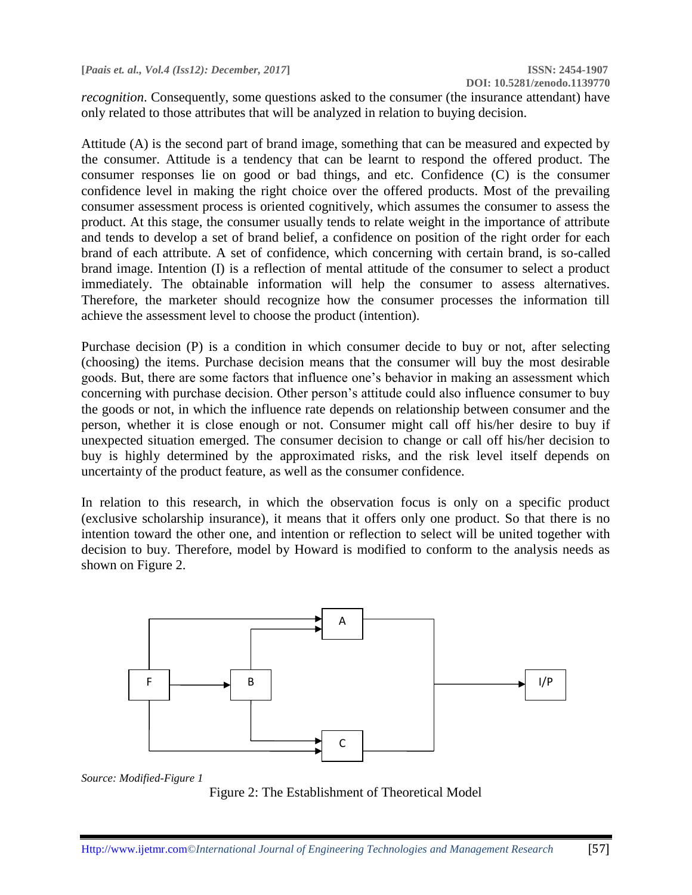*recognition*. Consequently, some questions asked to the consumer (the insurance attendant) have only related to those attributes that will be analyzed in relation to buying decision.

Attitude (A) is the second part of brand image, something that can be measured and expected by the consumer. Attitude is a tendency that can be learnt to respond the offered product. The consumer responses lie on good or bad things, and etc. Confidence (C) is the consumer confidence level in making the right choice over the offered products. Most of the prevailing consumer assessment process is oriented cognitively, which assumes the consumer to assess the product. At this stage, the consumer usually tends to relate weight in the importance of attribute and tends to develop a set of brand belief, a confidence on position of the right order for each brand of each attribute. A set of confidence, which concerning with certain brand, is so-called brand image. Intention (I) is a reflection of mental attitude of the consumer to select a product immediately. The obtainable information will help the consumer to assess alternatives. Therefore, the marketer should recognize how the consumer processes the information till achieve the assessment level to choose the product (intention).

Purchase decision (P) is a condition in which consumer decide to buy or not, after selecting (choosing) the items. Purchase decision means that the consumer will buy the most desirable goods. But, there are some factors that influence one's behavior in making an assessment which concerning with purchase decision. Other person's attitude could also influence consumer to buy the goods or not, in which the influence rate depends on relationship between consumer and the person, whether it is close enough or not. Consumer might call off his/her desire to buy if unexpected situation emerged. The consumer decision to change or call off his/her decision to buy is highly determined by the approximated risks, and the risk level itself depends on uncertainty of the product feature, as well as the consumer confidence.

In relation to this research, in which the observation focus is only on a specific product (exclusive scholarship insurance), it means that it offers only one product. So that there is no intention toward the other one, and intention or reflection to select will be united together with decision to buy. Therefore, model by Howard is modified to conform to the analysis needs as shown on Figure 2.



*Source: Modified-Figure 1*

Figure 2: The Establishment of Theoretical Model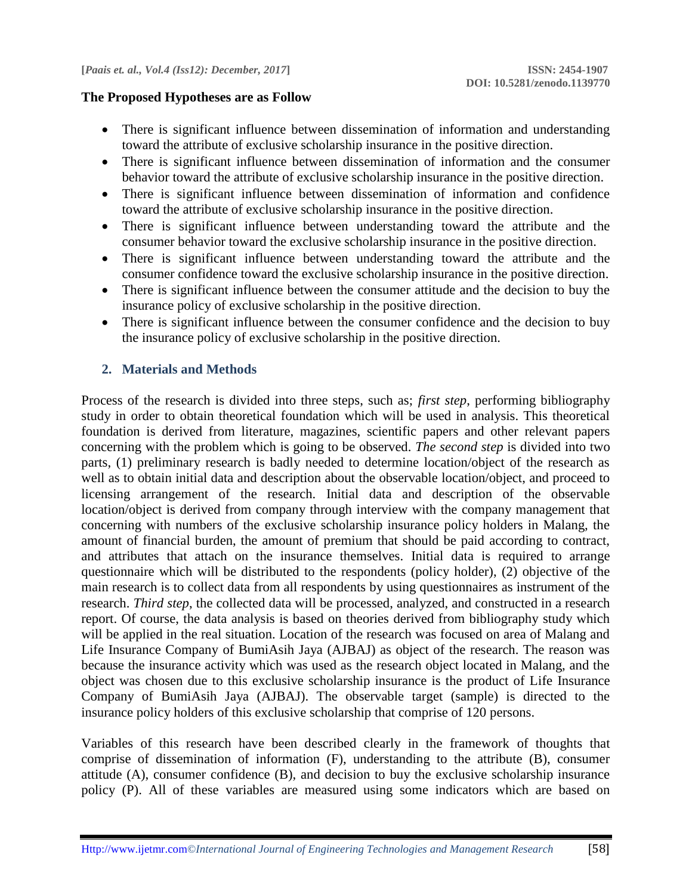#### **The Proposed Hypotheses are as Follow**

- There is significant influence between dissemination of information and understanding toward the attribute of exclusive scholarship insurance in the positive direction.
- There is significant influence between dissemination of information and the consumer behavior toward the attribute of exclusive scholarship insurance in the positive direction.
- There is significant influence between dissemination of information and confidence toward the attribute of exclusive scholarship insurance in the positive direction.
- There is significant influence between understanding toward the attribute and the consumer behavior toward the exclusive scholarship insurance in the positive direction.
- There is significant influence between understanding toward the attribute and the consumer confidence toward the exclusive scholarship insurance in the positive direction.
- There is significant influence between the consumer attitude and the decision to buy the insurance policy of exclusive scholarship in the positive direction.
- There is significant influence between the consumer confidence and the decision to buy the insurance policy of exclusive scholarship in the positive direction.

## **2. Materials and Methods**

Process of the research is divided into three steps, such as; *first step*, performing bibliography study in order to obtain theoretical foundation which will be used in analysis. This theoretical foundation is derived from literature, magazines, scientific papers and other relevant papers concerning with the problem which is going to be observed. *The second step* is divided into two parts, (1) preliminary research is badly needed to determine location/object of the research as well as to obtain initial data and description about the observable location/object, and proceed to licensing arrangement of the research. Initial data and description of the observable location/object is derived from company through interview with the company management that concerning with numbers of the exclusive scholarship insurance policy holders in Malang, the amount of financial burden, the amount of premium that should be paid according to contract, and attributes that attach on the insurance themselves. Initial data is required to arrange questionnaire which will be distributed to the respondents (policy holder), (2) objective of the main research is to collect data from all respondents by using questionnaires as instrument of the research. *Third step*, the collected data will be processed, analyzed, and constructed in a research report. Of course, the data analysis is based on theories derived from bibliography study which will be applied in the real situation. Location of the research was focused on area of Malang and Life Insurance Company of BumiAsih Jaya (AJBAJ) as object of the research. The reason was because the insurance activity which was used as the research object located in Malang, and the object was chosen due to this exclusive scholarship insurance is the product of Life Insurance Company of BumiAsih Jaya (AJBAJ). The observable target (sample) is directed to the insurance policy holders of this exclusive scholarship that comprise of 120 persons.

Variables of this research have been described clearly in the framework of thoughts that comprise of dissemination of information (F), understanding to the attribute (B), consumer attitude (A), consumer confidence (B), and decision to buy the exclusive scholarship insurance policy (P). All of these variables are measured using some indicators which are based on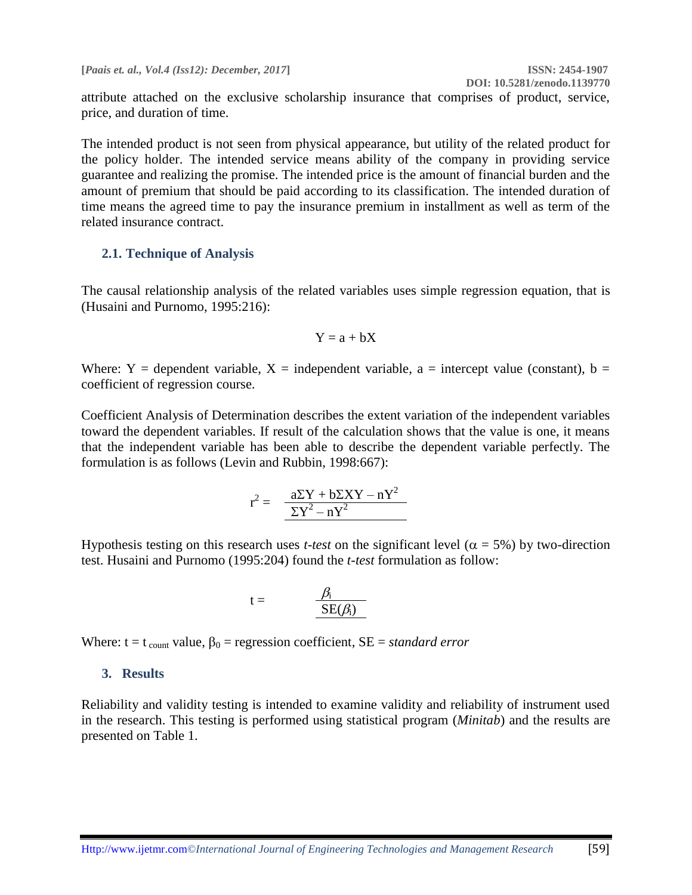attribute attached on the exclusive scholarship insurance that comprises of product, service, price, and duration of time.

The intended product is not seen from physical appearance, but utility of the related product for the policy holder. The intended service means ability of the company in providing service guarantee and realizing the promise. The intended price is the amount of financial burden and the amount of premium that should be paid according to its classification. The intended duration of time means the agreed time to pay the insurance premium in installment as well as term of the related insurance contract.

#### **2.1. Technique of Analysis**

The causal relationship analysis of the related variables uses simple regression equation, that is (Husaini and Purnomo, 1995:216):

$$
Y=a+bX
$$

Where: Y = dependent variable, X = independent variable, a = intercept value (constant), b = coefficient of regression course.

Coefficient Analysis of Determination describes the extent variation of the independent variables toward the dependent variables. If result of the calculation shows that the value is one, it means that the independent variable has been able to describe the dependent variable perfectly. The formulation is as follows (Levin and Rubbin, 1998:667):

$$
r^2 = -\frac{a\Sigma Y + b\Sigma XY - nY^2}{\Sigma Y^2 - nY^2}
$$

Hypothesis testing on this research uses *t-test* on the significant level ( $\alpha = 5\%$ ) by two-direction test. Husaini and Purnomo (1995:204) found the *t-test* formulation as follow:

$$
t = \frac{\beta_i}{SE(\beta_i)}
$$

Where:  $t = t_{\text{count}}$  value,  $\beta_0 = \text{regression coefficient}, SE = standard error$ 

#### **3. Results**

Reliability and validity testing is intended to examine validity and reliability of instrument used in the research. This testing is performed using statistical program (*Minitab*) and the results are presented on Table 1.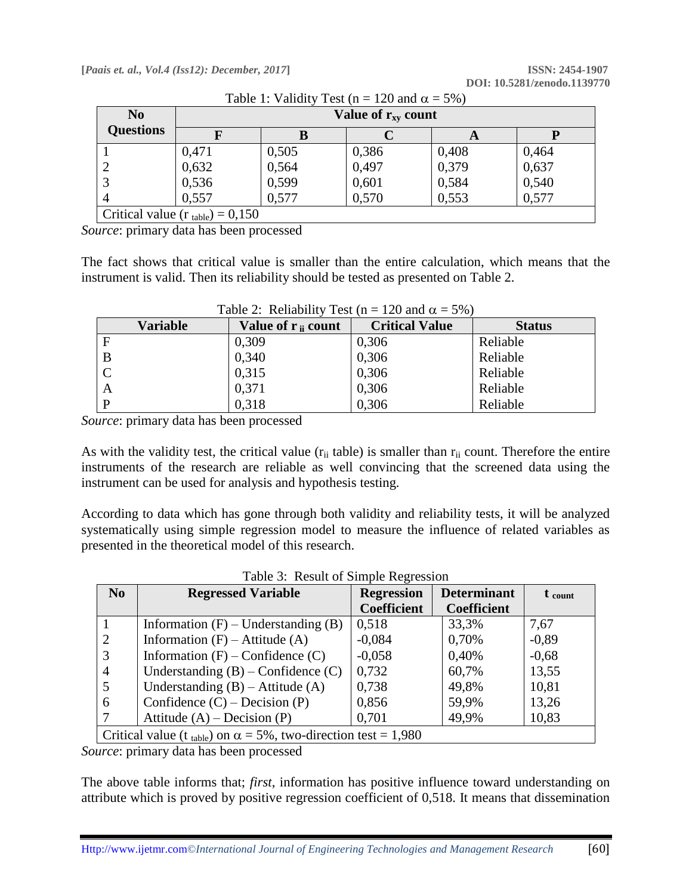| N <sub>0</sub>                                | Value of $r_{xy}$ count |       |       |       |       |
|-----------------------------------------------|-------------------------|-------|-------|-------|-------|
| <b>Questions</b>                              |                         |       |       | A     |       |
|                                               | 0,471                   | 0,505 | 0,386 | 0,408 | 0,464 |
|                                               | 0,632                   | 0,564 | 0,497 | 0,379 | 0,637 |
|                                               | 0,536                   | 0,599 | 0,601 | 0,584 | 0,540 |
| 4                                             | 0,557                   | 0,577 | 0,570 | 0,553 | 0,577 |
| Critical value ( $r_{\text{table}}$ ) = 0,150 |                         |       |       |       |       |

Table 1: Validity Test ( $n = 120$  and  $\alpha = 5\%)$ )

*Source*: primary data has been processed

The fact shows that critical value is smaller than the entire calculation, which means that the instrument is valid. Then its reliability should be tested as presented on Table 2.

| <b>Variable</b> | Value of $r_{ii}$ count | <b>Critical Value</b> | <b>Status</b> |
|-----------------|-------------------------|-----------------------|---------------|
| F               | 0,309                   | 0,306                 | Reliable      |
| B               | 0,340                   | 0,306                 | Reliable      |
|                 | 0,315                   | 0,306                 | Reliable      |
| A               | 0,371                   | 0,306                 | Reliable      |
| D               | 0,318                   | 0,306                 | Reliable      |

Table 2: Reliability Test (n = 120 and  $\alpha$  = 5%)

*Source*: primary data has been processed

As with the validity test, the critical value ( $r_{ii}$  table) is smaller than  $r_{ii}$  count. Therefore the entire instruments of the research are reliable as well convincing that the screened data using the instrument can be used for analysis and hypothesis testing.

According to data which has gone through both validity and reliability tests, it will be analyzed systematically using simple regression model to measure the influence of related variables as presented in the theoretical model of this research.

| N <sub>o</sub>                                                                      | <b>Regressed Variable</b>               | <b>Regression</b>  | <b>Determinant</b> | $t_{\text{count}}$ |
|-------------------------------------------------------------------------------------|-----------------------------------------|--------------------|--------------------|--------------------|
|                                                                                     |                                         | <b>Coefficient</b> | <b>Coefficient</b> |                    |
|                                                                                     | Information $(F)$ – Understanding $(B)$ | 0,518              | 33,3%              | 7,67               |
| 2                                                                                   | Information $(F)$ – Attitude $(A)$      | $-0,084$           | 0,70%              | $-0,89$            |
|                                                                                     | Information $(F)$ – Confidence $(C)$    | $-0,058$           | 0,40%              | $-0,68$            |
| $\overline{4}$                                                                      | Understanding $(B)$ – Confidence $(C)$  | 0,732              | 60,7%              | 13,55              |
|                                                                                     | Understanding $(B)$ – Attitude $(A)$    | 0,738              | 49,8%              | 10,81              |
| 6                                                                                   | Confidence $(C)$ – Decision $(P)$       | 0,856              | 59,9%              | 13,26              |
|                                                                                     | Attitude $(A)$ – Decision $(P)$         | 0,701              | 49,9%              | 10,83              |
| Critical value (t <sub>table</sub> ) on $\alpha = 5\%$ , two-direction test = 1,980 |                                         |                    |                    |                    |

Table 3: Result of Simple Regression

*Source*: primary data has been processed

The above table informs that; *first*, information has positive influence toward understanding on attribute which is proved by positive regression coefficient of 0,518. It means that dissemination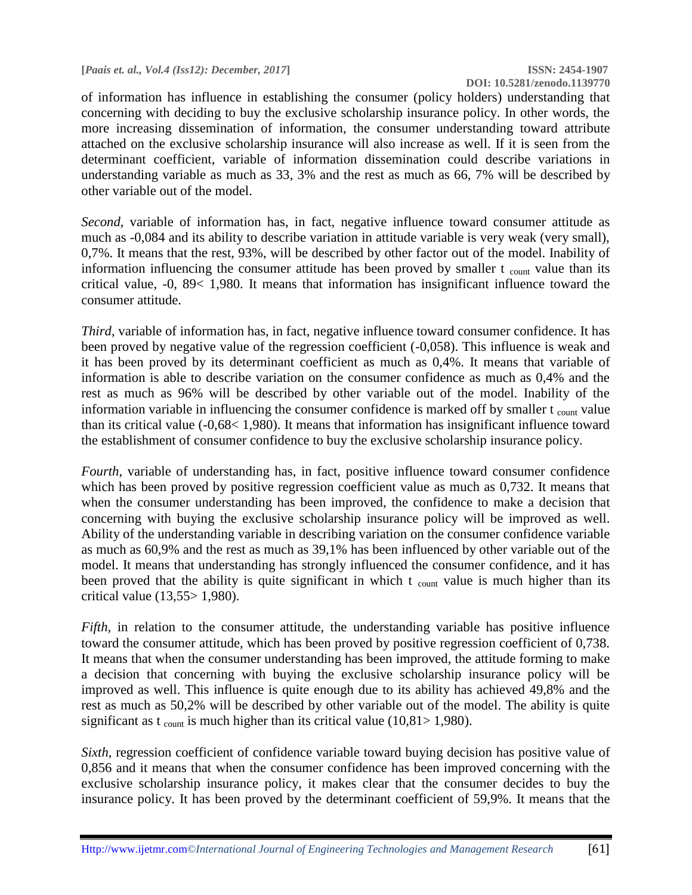of information has influence in establishing the consumer (policy holders) understanding that concerning with deciding to buy the exclusive scholarship insurance policy. In other words, the more increasing dissemination of information, the consumer understanding toward attribute attached on the exclusive scholarship insurance will also increase as well. If it is seen from the determinant coefficient, variable of information dissemination could describe variations in understanding variable as much as 33, 3% and the rest as much as 66, 7% will be described by other variable out of the model.

*Second*, variable of information has, in fact, negative influence toward consumer attitude as much as -0,084 and its ability to describe variation in attitude variable is very weak (very small), 0,7%. It means that the rest, 93%, will be described by other factor out of the model. Inability of information influencing the consumer attitude has been proved by smaller  $t_{\text{count}}$  value than its critical value, -0, 89< 1,980. It means that information has insignificant influence toward the consumer attitude.

*Third*, variable of information has, in fact, negative influence toward consumer confidence. It has been proved by negative value of the regression coefficient (-0,058). This influence is weak and it has been proved by its determinant coefficient as much as 0,4%. It means that variable of information is able to describe variation on the consumer confidence as much as 0,4% and the rest as much as 96% will be described by other variable out of the model. Inability of the information variable in influencing the consumer confidence is marked off by smaller t count value than its critical value (-0,68< 1,980). It means that information has insignificant influence toward the establishment of consumer confidence to buy the exclusive scholarship insurance policy.

*Fourth*, variable of understanding has, in fact, positive influence toward consumer confidence which has been proved by positive regression coefficient value as much as 0,732. It means that when the consumer understanding has been improved, the confidence to make a decision that concerning with buying the exclusive scholarship insurance policy will be improved as well. Ability of the understanding variable in describing variation on the consumer confidence variable as much as 60,9% and the rest as much as 39,1% has been influenced by other variable out of the model. It means that understanding has strongly influenced the consumer confidence, and it has been proved that the ability is quite significant in which  $t_{\text{count}}$  value is much higher than its critical value (13,55> 1,980).

*Fifth*, in relation to the consumer attitude, the understanding variable has positive influence toward the consumer attitude, which has been proved by positive regression coefficient of 0,738. It means that when the consumer understanding has been improved, the attitude forming to make a decision that concerning with buying the exclusive scholarship insurance policy will be improved as well. This influence is quite enough due to its ability has achieved 49,8% and the rest as much as 50,2% will be described by other variable out of the model. The ability is quite significant as t  $_{\text{count}}$  is much higher than its critical value (10,81> 1,980).

*Sixth*, regression coefficient of confidence variable toward buying decision has positive value of 0,856 and it means that when the consumer confidence has been improved concerning with the exclusive scholarship insurance policy, it makes clear that the consumer decides to buy the insurance policy. It has been proved by the determinant coefficient of 59,9%. It means that the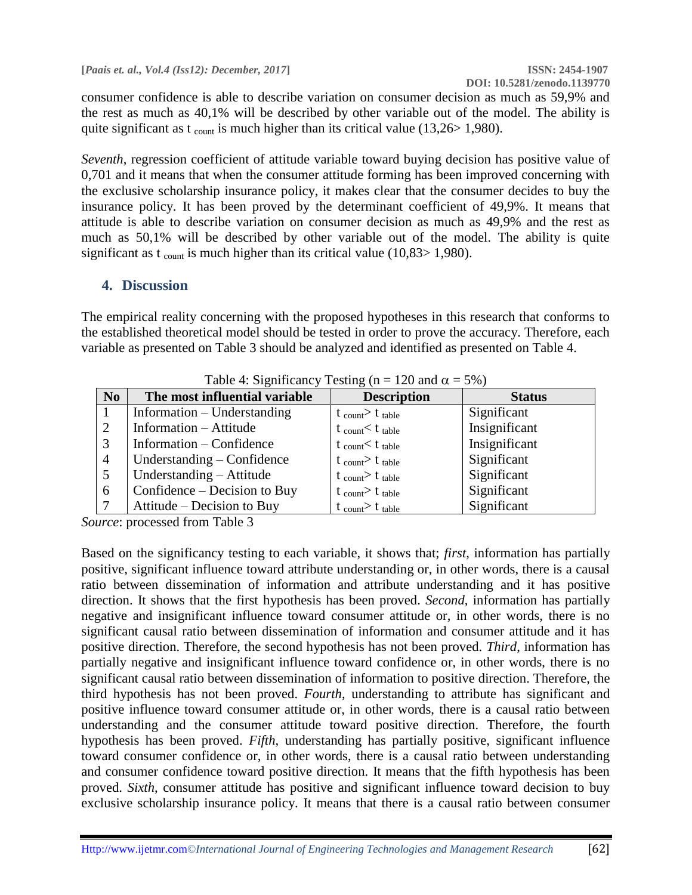consumer confidence is able to describe variation on consumer decision as much as 59,9% and the rest as much as 40,1% will be described by other variable out of the model. The ability is quite significant as t  $_{\text{count}}$  is much higher than its critical value (13,26> 1,980).

*Seventh*, regression coefficient of attitude variable toward buying decision has positive value of 0,701 and it means that when the consumer attitude forming has been improved concerning with the exclusive scholarship insurance policy, it makes clear that the consumer decides to buy the insurance policy. It has been proved by the determinant coefficient of 49,9%. It means that attitude is able to describe variation on consumer decision as much as 49,9% and the rest as much as 50,1% will be described by other variable out of the model. The ability is quite significant as t  $_{\text{count}}$  is much higher than its critical value (10,83> 1,980).

## **4. Discussion**

The empirical reality concerning with the proposed hypotheses in this research that conforms to the established theoretical model should be tested in order to prove the accuracy. Therefore, each variable as presented on Table 3 should be analyzed and identified as presented on Table 4.

| N <sub>0</sub> | The most influential variable | <b>Description</b>                    | <b>Status</b> |
|----------------|-------------------------------|---------------------------------------|---------------|
|                | Information – Understanding   | $t_{\text{count}} > t_{\text{table}}$ | Significant   |
|                | Information – Attitude        | $t_{\text{count}} < t_{\text{table}}$ | Insignificant |
|                | Information $-$ Confidence    | t count $t$ table                     | Insignificant |
| $\overline{4}$ | Understanding – Confidence    | $t_{\text{count}} > t_{\text{table}}$ | Significant   |
|                | Understanding - Attitude      | $t_{\text{count}} > t_{\text{table}}$ | Significant   |
| 6              | Confidence – Decision to Buy  | $t_{\text{count}} > t_{\text{table}}$ | Significant   |
|                | Attitude – Decision to Buy    | $t_{\text{count}} > t_{\text{table}}$ | Significant   |

Table 4: Significancy Testing (n = 120 and  $\alpha$  = 5%)

*Source*: processed from Table 3

Based on the significancy testing to each variable, it shows that; *first*, information has partially positive, significant influence toward attribute understanding or, in other words, there is a causal ratio between dissemination of information and attribute understanding and it has positive direction. It shows that the first hypothesis has been proved. *Second*, information has partially negative and insignificant influence toward consumer attitude or, in other words, there is no significant causal ratio between dissemination of information and consumer attitude and it has positive direction. Therefore, the second hypothesis has not been proved. *Third*, information has partially negative and insignificant influence toward confidence or, in other words, there is no significant causal ratio between dissemination of information to positive direction. Therefore, the third hypothesis has not been proved. *Fourth*, understanding to attribute has significant and positive influence toward consumer attitude or, in other words, there is a causal ratio between understanding and the consumer attitude toward positive direction. Therefore, the fourth hypothesis has been proved. *Fifth*, understanding has partially positive, significant influence toward consumer confidence or, in other words, there is a causal ratio between understanding and consumer confidence toward positive direction. It means that the fifth hypothesis has been proved. *Sixth*, consumer attitude has positive and significant influence toward decision to buy exclusive scholarship insurance policy. It means that there is a causal ratio between consumer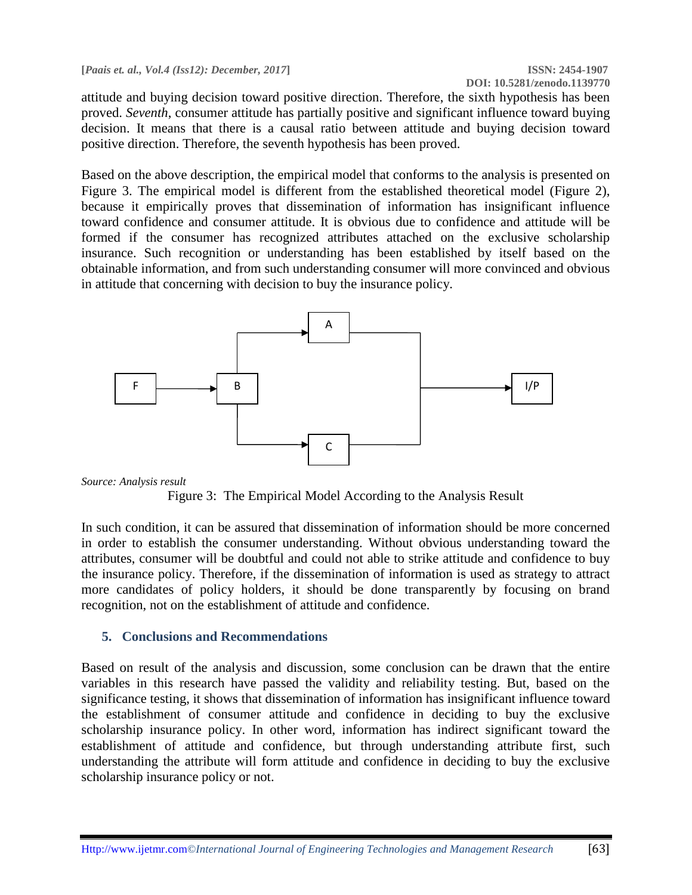attitude and buying decision toward positive direction. Therefore, the sixth hypothesis has been proved. *Seventh*, consumer attitude has partially positive and significant influence toward buying decision. It means that there is a causal ratio between attitude and buying decision toward positive direction. Therefore, the seventh hypothesis has been proved.

Based on the above description, the empirical model that conforms to the analysis is presented on Figure 3. The empirical model is different from the established theoretical model (Figure 2), because it empirically proves that dissemination of information has insignificant influence toward confidence and consumer attitude. It is obvious due to confidence and attitude will be formed if the consumer has recognized attributes attached on the exclusive scholarship insurance. Such recognition or understanding has been established by itself based on the obtainable information, and from such understanding consumer will more convinced and obvious in attitude that concerning with decision to buy the insurance policy.





Figure 3: The Empirical Model According to the Analysis Result

In such condition, it can be assured that dissemination of information should be more concerned in order to establish the consumer understanding. Without obvious understanding toward the attributes, consumer will be doubtful and could not able to strike attitude and confidence to buy the insurance policy. Therefore, if the dissemination of information is used as strategy to attract more candidates of policy holders, it should be done transparently by focusing on brand recognition, not on the establishment of attitude and confidence.

## **5. Conclusions and Recommendations**

Based on result of the analysis and discussion, some conclusion can be drawn that the entire variables in this research have passed the validity and reliability testing. But, based on the significance testing, it shows that dissemination of information has insignificant influence toward the establishment of consumer attitude and confidence in deciding to buy the exclusive scholarship insurance policy. In other word, information has indirect significant toward the establishment of attitude and confidence, but through understanding attribute first, such understanding the attribute will form attitude and confidence in deciding to buy the exclusive scholarship insurance policy or not.